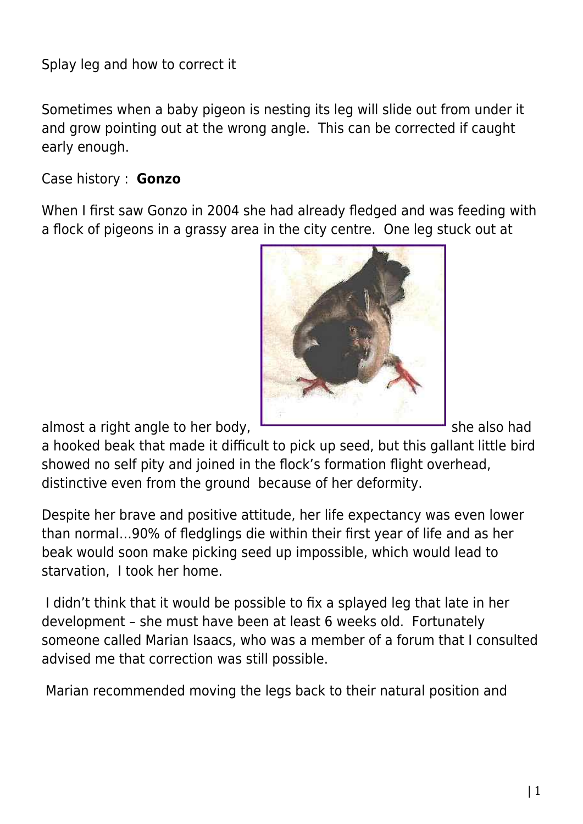Splay leg and how to correct it

Sometimes when a baby pigeon is nesting its leg will slide out from under it and grow pointing out at the wrong angle. This can be corrected if caught early enough.

## Case history : **Gonzo**

When I first saw Gonzo in 2004 she had already fledged and was feeding with a flock of pigeons in a grassy area in the city centre. One leg stuck out at



almost a right angle to her body, she also had

a hooked beak that made it difficult to pick up seed, but this gallant little bird showed no self pity and joined in the flock's formation flight overhead, distinctive even from the ground because of her deformity.

Despite her brave and positive attitude, her life expectancy was even lower than normal…90% of fledglings die within their first year of life and as her beak would soon make picking seed up impossible, which would lead to starvation, I took her home.

 I didn't think that it would be possible to fix a splayed leg that late in her development – she must have been at least 6 weeks old. Fortunately someone called Marian Isaacs, who was a member of a forum that I consulted advised me that correction was still possible.

Marian recommended moving the legs back to their natural position and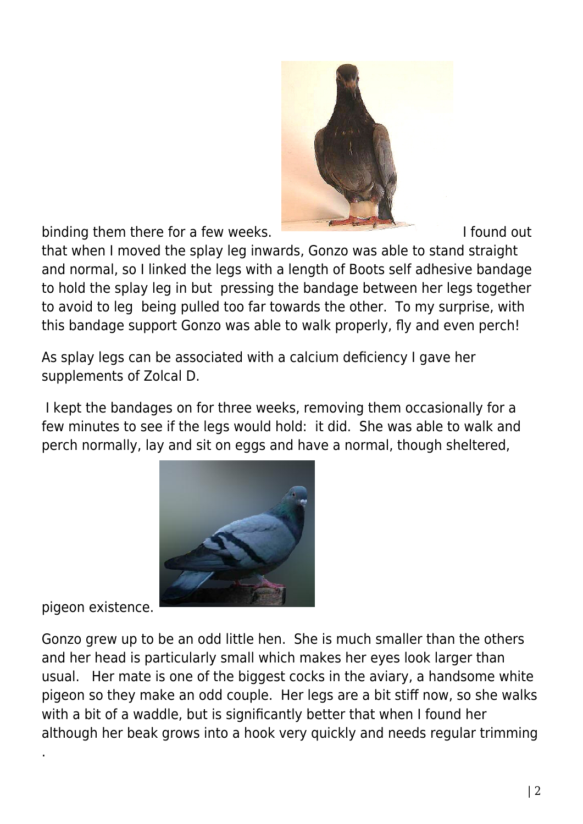

binding them there for a few weeks.

that when I moved the splay leg inwards, Gonzo was able to stand straight and normal, so I linked the legs with a length of Boots self adhesive bandage to hold the splay leg in but pressing the bandage between her legs together to avoid to leg being pulled too far towards the other. To my surprise, with this bandage support Gonzo was able to walk properly, fly and even perch!

As splay legs can be associated with a calcium deficiency I gave her supplements of Zolcal D.

 I kept the bandages on for three weeks, removing them occasionally for a few minutes to see if the legs would hold: it did. She was able to walk and perch normally, lay and sit on eggs and have a normal, though sheltered,



pigeon existence.

.

Gonzo grew up to be an odd little hen. She is much smaller than the others and her head is particularly small which makes her eyes look larger than usual. Her mate is one of the biggest cocks in the aviary, a handsome white pigeon so they make an odd couple. Her legs are a bit stiff now, so she walks with a bit of a waddle, but is significantly better that when I found her although her beak grows into a hook very quickly and needs regular trimming